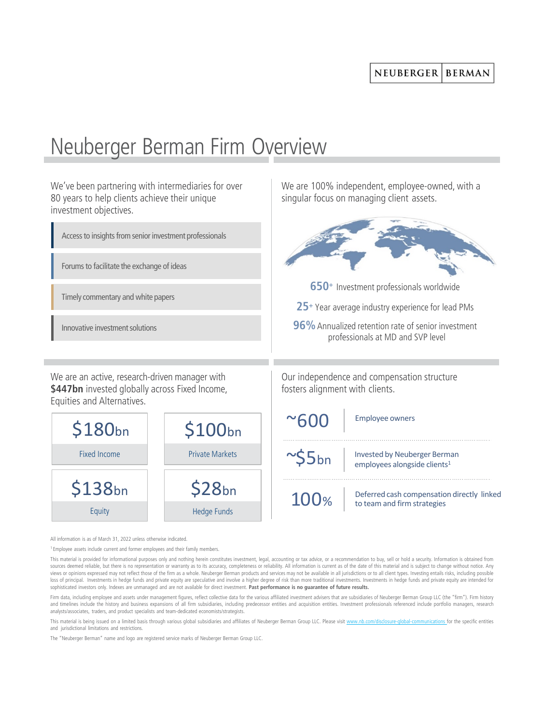## NEUBERGER **BERMAN**

We are 100% independent, employee-owned, with a

singular focus on managing client assets.

## Neuberger Berman Firm Overview

We've been partnering with intermediaries for over 80 years to help clients achieve their unique investment objectives.





All information is as of March 31, 2022 unless otherwise indicated.

<sup>1</sup> Employee assets include current and former employees and their family members.

This material is provided for informational purposes only and nothing herein constitutes investment, legal, accounting or tax advice, or a recommendation to buy, sell or hold a security. Information is obtained from sources deemed reliable, but there is no representation or warranty as to its accuracy, completeness or reliability. All information is current as of the date of this material and is subject to change without notice. Any views or opinions expressed may not reflect those of the firm as a whole. Neuberger Berman products and services may not be available in all jurisdictions or to all client types. Investing entails risks, including possible loss of principal. Investments in hedge funds and private equity are speculative and involve a higher degree of risk than more traditional investments. Investments in hedge funds and private equity are intended for sophisticated investors only. Indexes are unmanaged and are not available for direct investment. **Past performance is no guarantee of future results.**

Firm data, including employee and assets under management figures, reflect collective data for the various affiliated investment advisers that are subsidiaries of Neuberger Berman Group LLC (the "firm"). Firm history and timelines include the history and business expansions of all firm subsidiaries, including predecessor entities and acquisition entities. Investment professionals referenced include portfolio managers, research analysts/associates, traders, and product specialists and team-dedicated economists/strategist:

This material is being issued on a limited basis through various global subsidiaries and affiliates of Neuberger Berman Group LLC. Please visit [www.nb.com/disclosure-global-communications](http://www.nb.com/disclosure-global-communications) for the specific entities and jurisdictional limitations and restrictions.

The "Neuberger Berman" name and logo are registered service marks of Neuberger Berman Group LLC.